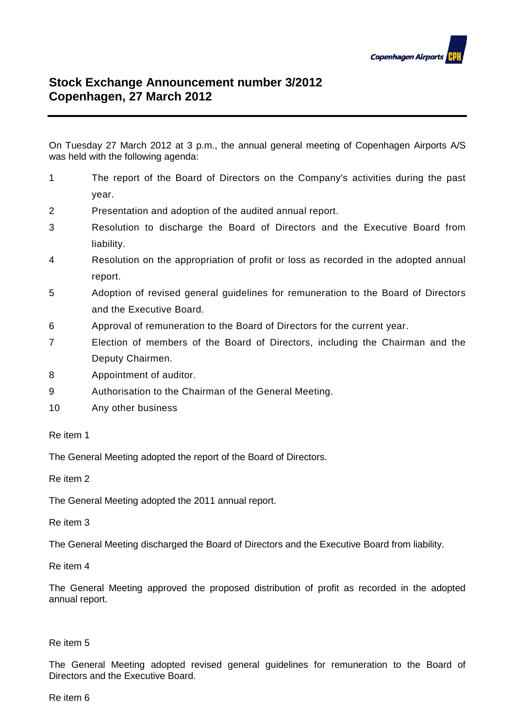

## **Stock Exchange Announcement number 3/2012 Copenhagen, 27 March 2012**

On Tuesday 27 March 2012 at 3 p.m., the annual general meeting of Copenhagen Airports A/S was held with the following agenda:

- 1 The report of the Board of Directors on the Company's activities during the past year.
- 2 Presentation and adoption of the audited annual report.
- 3 Resolution to discharge the Board of Directors and the Executive Board from liability.
- 4 Resolution on the appropriation of profit or loss as recorded in the adopted annual report.
- 5 Adoption of revised general guidelines for remuneration to the Board of Directors and the Executive Board.
- 6 Approval of remuneration to the Board of Directors for the current year.
- 7 Election of members of the Board of Directors, including the Chairman and the Deputy Chairmen.
- 8 Appointment of auditor.
- 9 Authorisation to the Chairman of the General Meeting.
- 10 Any other business

## Re item 1

The General Meeting adopted the report of the Board of Directors.

Re item 2

The General Meeting adopted the 2011 annual report.

Re item 3

The General Meeting discharged the Board of Directors and the Executive Board from liability.

Re item 4

The General Meeting approved the proposed distribution of profit as recorded in the adopted annual report.

## Re item 5

The General Meeting adopted revised general guidelines for remuneration to the Board of Directors and the Executive Board.